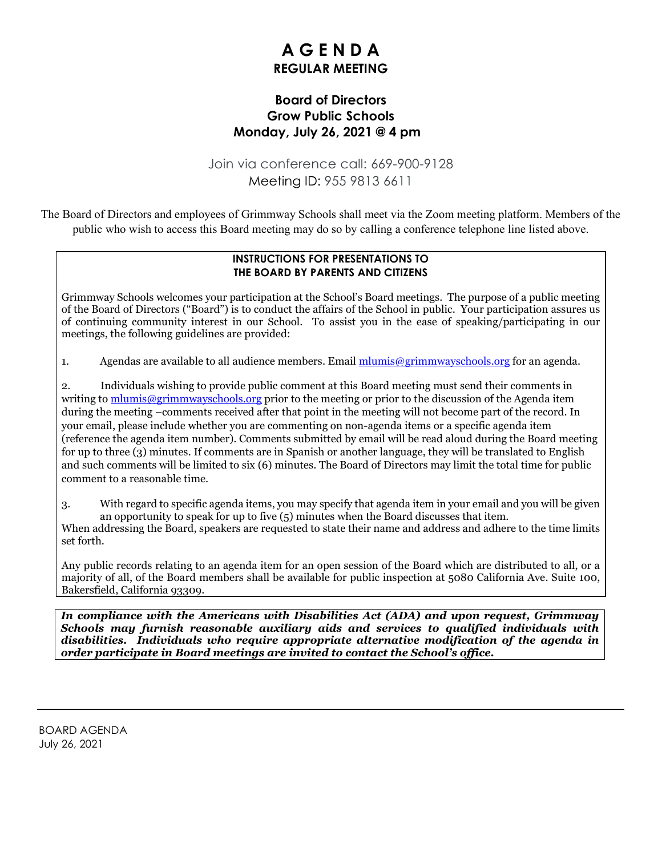# **A G E N D A REGULAR MEETING**

### **Board of Directors Grow Public Schools Monday, July 26, 2021 @ 4 pm**

Join via conference call: 669-900-9128 Meeting ID: 955 9813 6611

The Board of Directors and employees of Grimmway Schools shall meet via the Zoom meeting platform. Members of the public who wish to access this Board meeting may do so by calling a conference telephone line listed above.

#### **INSTRUCTIONS FOR PRESENTATIONS TO THE BOARD BY PARENTS AND CITIZENS**

Grimmway Schools welcomes your participation at the School's Board meetings. The purpose of a public meeting of the Board of Directors ("Board") is to conduct the affairs of the School in public. Your participation assures us of continuing community interest in our School. To assist you in the ease of speaking/participating in our meetings, the following guidelines are provided:

1. Agendas are available to all audience members. Email  $\frac{m \cdot m}{m}$  equals also allow an agenda.

2. Individuals wishing to provide public comment at this Board meeting must send their comments in writing to  $\frac{m \text{lumis} \omega \text{grimm} \text{wayschools.org}}{m}$  prior to the meeting or prior to the discussion of the Agenda item during the meeting –comments received after that point in the meeting will not become part of the record. In your email, please include whether you are commenting on non-agenda items or a specific agenda item (reference the agenda item number). Comments submitted by email will be read aloud during the Board meeting for up to three (3) minutes. If comments are in Spanish or another language, they will be translated to English and such comments will be limited to six (6) minutes. The Board of Directors may limit the total time for public comment to a reasonable time.

3. With regard to specific agenda items, you may specify that agenda item in your email and you will be given an opportunity to speak for up to five (5) minutes when the Board discusses that item.

When addressing the Board, speakers are requested to state their name and address and adhere to the time limits set forth.

Any public records relating to an agenda item for an open session of the Board which are distributed to all, or a majority of all, of the Board members shall be available for public inspection at 5080 California Ave. Suite 100, Bakersfield, California 93309.

*In compliance with the Americans with Disabilities Act (ADA) and upon request, Grimmway Schools may furnish reasonable auxiliary aids and services to qualified individuals with disabilities. Individuals who require appropriate alternative modification of the agenda in order participate in Board meetings are invited to contact the School's office.*

BOARD AGENDA July 26, 2021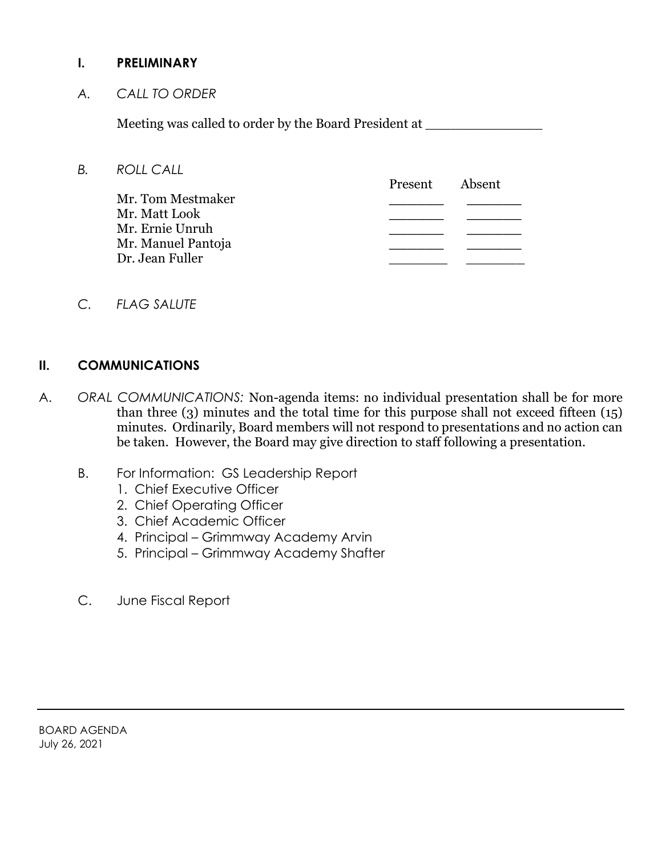#### **I. PRELIMINARY**

*A. CALL TO ORDER*

Meeting was called to order by the Board President at \_\_\_\_\_\_\_\_\_\_\_\_\_\_\_\_\_\_\_\_\_\_\_\_\_\_

*B. ROLL CALL*

|                    | Present | Absent |
|--------------------|---------|--------|
| Mr. Tom Mestmaker  |         |        |
| Mr. Matt Look      |         |        |
| Mr. Ernie Unruh    |         |        |
| Mr. Manuel Pantoja |         |        |
| Dr. Jean Fuller    |         |        |
|                    |         |        |

*C. FLAG SALUTE*

#### **II. COMMUNICATIONS**

- A. *ORAL COMMUNICATIONS:* Non-agenda items: no individual presentation shall be for more than three (3) minutes and the total time for this purpose shall not exceed fifteen (15) minutes. Ordinarily, Board members will not respond to presentations and no action can be taken. However, the Board may give direction to staff following a presentation.
	- B. For Information: GS Leadership Report
		- 1. Chief Executive Officer
		- 2. Chief Operating Officer
		- 3. Chief Academic Officer
		- 4. Principal Grimmway Academy Arvin
		- 5. Principal Grimmway Academy Shafter
	- C. June Fiscal Report

BOARD AGENDA July 26, 2021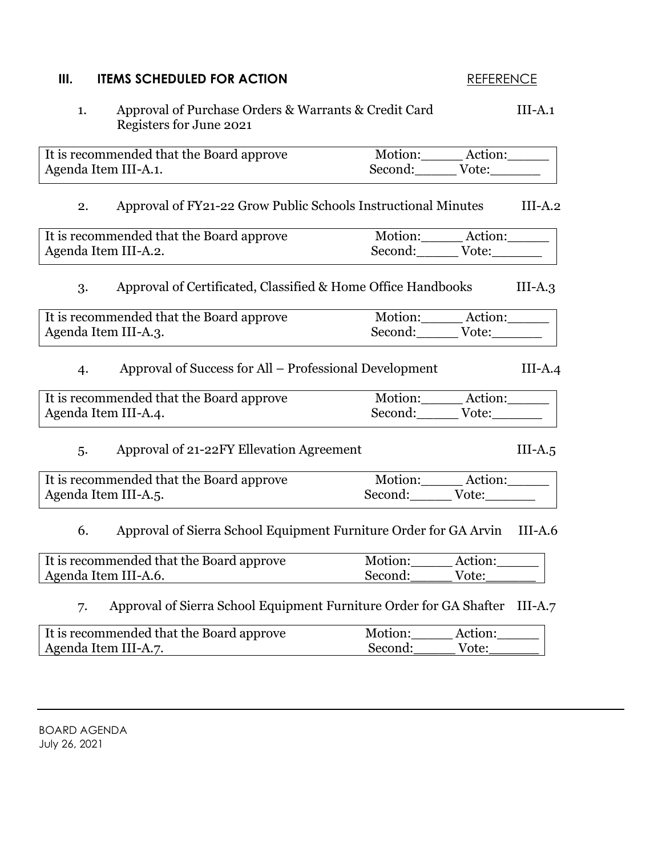# **III. ITEMS SCHEDULED FOR ACTION REFERENCE**

| Approval of Purchase Orders & Warrants & Credit Card<br>1.<br>Registers for June 2021 |                             |       | $III-A.1$ |
|---------------------------------------------------------------------------------------|-----------------------------|-------|-----------|
| It is recommended that the Board approve                                              | Motion: Action:             |       |           |
| Agenda Item III-A.1.                                                                  | Second: Vote:               |       |           |
| Approval of FY21-22 Grow Public Schools Instructional Minutes<br>2.                   |                             |       | $III-A.2$ |
| It is recommended that the Board approve                                              | Motion: Action:             |       |           |
| Agenda Item III-A.2.                                                                  | Second: Vote:               |       |           |
| Approval of Certificated, Classified & Home Office Handbooks<br>3.                    |                             |       | $III-A.3$ |
| It is recommended that the Board approve                                              | Motion: Action:             |       |           |
| Agenda Item III-A.3.                                                                  | Second: Vote:               |       |           |
| Approval of Success for All – Professional Development<br>$\overline{4}$              |                             |       | $III-A.4$ |
| It is recommended that the Board approve                                              | Motion: Action:             |       |           |
| Agenda Item III-A.4.                                                                  | Second: Vote:               |       |           |
| Approval of 21-22FY Ellevation Agreement<br>5.                                        |                             |       | $III-A.5$ |
| It is recommended that the Board approve                                              | Motion:______ Action:______ |       |           |
| Agenda Item III-A.5.                                                                  | Second: Vote:               |       |           |
| Approval of Sierra School Equipment Furniture Order for GA Arvin<br>6.                |                             |       | $III-A.6$ |
| It is recommended that the Board approve                                              | Motion: Action:             |       |           |
| Agenda Item III-A.6.                                                                  | Second: Vote:               |       |           |
| Approval of Sierra School Equipment Furniture Order for GA Shafter III-A.7<br>7.      |                             |       |           |
| It is recommended that the Board approve                                              | Motion: Action:             |       |           |
| Agenda Item III-A.7.                                                                  | Second:                     | Vote: |           |